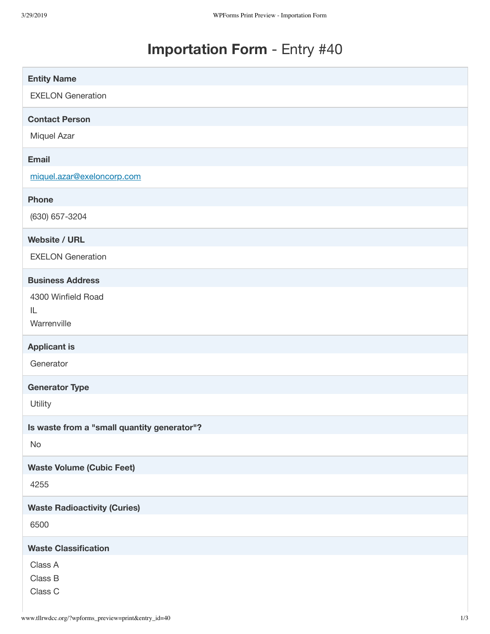# **Importation Form** - Entry #40

| <b>Entity Name</b>                          |
|---------------------------------------------|
| <b>EXELON Generation</b>                    |
| <b>Contact Person</b>                       |
| Miquel Azar                                 |
| <b>Email</b>                                |
| miquel.azar@exeloncorp.com                  |
| <b>Phone</b>                                |
| (630) 657-3204                              |
| <b>Website / URL</b>                        |
| <b>EXELON Generation</b>                    |
| <b>Business Address</b>                     |
| 4300 Winfield Road                          |
| IL<br>Warrenville                           |
| <b>Applicant is</b>                         |
| Generator                                   |
| <b>Generator Type</b>                       |
| Utility                                     |
| Is waste from a "small quantity generator"? |
| No                                          |
| <b>Waste Volume (Cubic Feet)</b>            |
| 4255                                        |
| <b>Waste Radioactivity (Curies)</b>         |
| 6500                                        |
| <b>Waste Classification</b>                 |
| Class A                                     |
| Class B                                     |
| Class C                                     |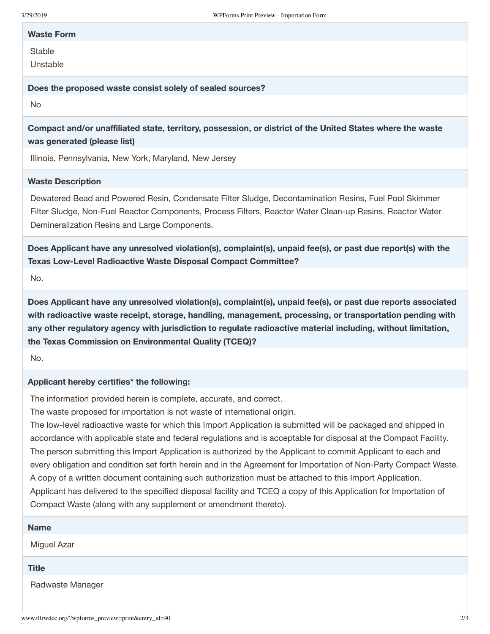### **Waste Form**

**Stable** 

Unstable

#### **Does the proposed waste consist solely of sealed sources?**

No

**Compact and/or unaffiliated state, territory, possession, or district of the United States where the waste was generated (please list)**

Illinois, Pennsylvania, New York, Maryland, New Jersey

## **Waste Description**

Dewatered Bead and Powered Resin, Condensate Filter Sludge, Decontamination Resins, Fuel Pool Skimmer Filter Sludge, Non-Fuel Reactor Components, Process Filters, Reactor Water Clean-up Resins, Reactor Water Demineralization Resins and Large Components.

**Does Applicant have any unresolved violation(s), complaint(s), unpaid fee(s), or past due report(s) with the Texas Low-Level Radioactive Waste Disposal Compact Committee?**

No.

**Does Applicant have any unresolved violation(s), complaint(s), unpaid fee(s), or past due reports associated with radioactive waste receipt, storage, handling, management, processing, or transportation pending with any other regulatory agency with jurisdiction to regulate radioactive material including, without limitation, the Texas Commission on Environmental Quality (TCEQ)?**

No.

## **Applicant hereby certifies\* the following:**

The information provided herein is complete, accurate, and correct.

The waste proposed for importation is not waste of international origin.

The low-level radioactive waste for which this Import Application is submitted will be packaged and shipped in accordance with applicable state and federal regulations and is acceptable for disposal at the Compact Facility. The person submitting this Import Application is authorized by the Applicant to commit Applicant to each and every obligation and condition set forth herein and in the Agreement for Importation of Non-Party Compact Waste. A copy of a written document containing such authorization must be attached to this Import Application. Applicant has delivered to the specified disposal facility and TCEQ a copy of this Application for Importation of Compact Waste (along with any supplement or amendment thereto).

| <b>Name</b>      |  |  |
|------------------|--|--|
| Miguel Azar      |  |  |
| <b>Title</b>     |  |  |
| Radwaste Manager |  |  |